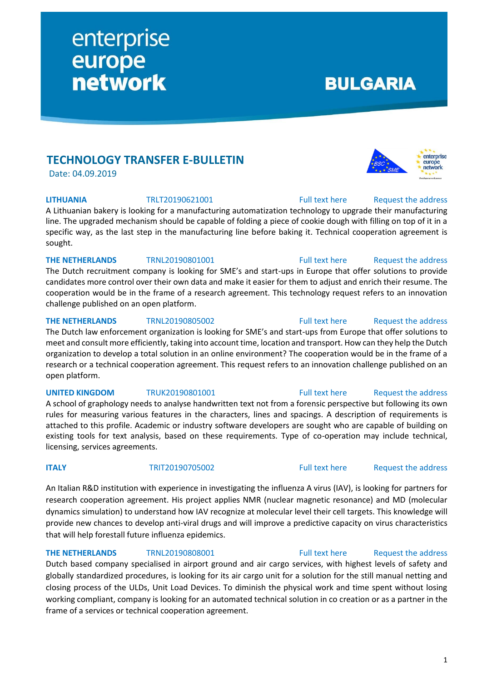**TECHNOLOGY TRANSFER E-BULLETIN**

enterprise<br>
europe<br>
network

Date: 04.09.2019

A Lithuanian bakery is looking for a manufacturing automatization technology to upgrade their manufacturing line. The upgraded mechanism should be capable of folding a piece of cookie dough with filling on top of it in a specific way, as the last step in the manufacturing line before baking it. Technical cooperation agreement is sought.

## **THE NETHERLANDS** TRNL20190801001 [Full text here](https://een.ec.europa.eu/tools/services/PRO/Profile/Detail/541cc9cc-d6a3-468e-aeb9-0543bfd4eb07) Request the address

The Dutch recruitment company is looking for SME's and start-ups in Europe that offer solutions to provide candidates more control over their own data and make it easier for them to adjust and enrich their resume. The cooperation would be in the frame of a research agreement. This technology request refers to an innovation challenge published on an open platform.

## **THE NETHERLANDS** TRNL20190805002 [Full text here](https://een.ec.europa.eu/tools/services/PRO/Profile/Detail/e909fc3d-c9ac-4b68-8668-c822f21ca403) Request the address

The Dutch law enforcement organization is looking for SME's and start-ups from Europe that offer solutions to meet and consult more efficiently, taking into account time, location and transport. How can they help the Dutch organization to develop a total solution in an online environment? The cooperation would be in the frame of a research or a technical cooperation agreement. This request refers to an innovation challenge published on an open platform.

A school of graphology needs to analyse handwritten text not from a forensic perspective but following its own rules for measuring various features in the characters, lines and spacings. A description of requirements is attached to this profile. Academic or industry software developers are sought who are capable of building on existing tools for text analysis, based on these requirements. Type of co-operation may include technical, licensing, services agreements.

**ITALY** TRIT20190705002 [Full text here](https://een.ec.europa.eu/tools/services/PRO/Profile/Detail/597ee7fe-f7be-4b72-b133-a754910c88bf) Request [the address](http://www.een.bg/index.php?option=com_rsform&formId=13)

An Italian R&D institution with experience in investigating the influenza A virus (IAV), is looking for partners for research cooperation agreement. His project applies NMR (nuclear magnetic resonance) and MD (molecular dynamics simulation) to understand how IAV recognize at molecular level their cell targets. This knowledge will provide new chances to develop anti-viral drugs and will improve a predictive capacity on virus characteristics that will help forestall future influenza epidemics.

## **THE NETHERLANDS** TRNL20190808001 [Full text here](https://een.ec.europa.eu/tools/services/PRO/Profile/Detail/0b0a400f-6b55-41e1-88f0-019af5de4bf9) Request the address

Dutch based company specialised in airport ground and air cargo services, with highest levels of safety and globally standardized procedures, is looking for its air cargo unit for a solution for the still manual netting and closing process of the ULDs, Unit Load Devices. To diminish the physical work and time spent without losing working compliant, company is looking for an automated technical solution in co creation or as a partner in the frame of a services or technical cooperation agreement.

# network

**LITHUANIA** TRLT20190621001 [Full text here](https://een.ec.europa.eu/tools/services/PRO/Profile/Detail/21f5f072-25ef-49fa-aca0-dc826fe221a2) [Request the address](http://www.een.bg/index.php?option=com_rsform&formId=13) 

enterprise europe

**BULGARIA** 

## **UNITED KINGDOM** TRUK20190801001 [Full text here](https://een.ec.europa.eu/tools/services/PRO/Profile/Detail/b5043531-14c3-474d-b68b-88873102b42d) Request [the address](http://www.een.bg/index.php?option=com_rsform&formId=13)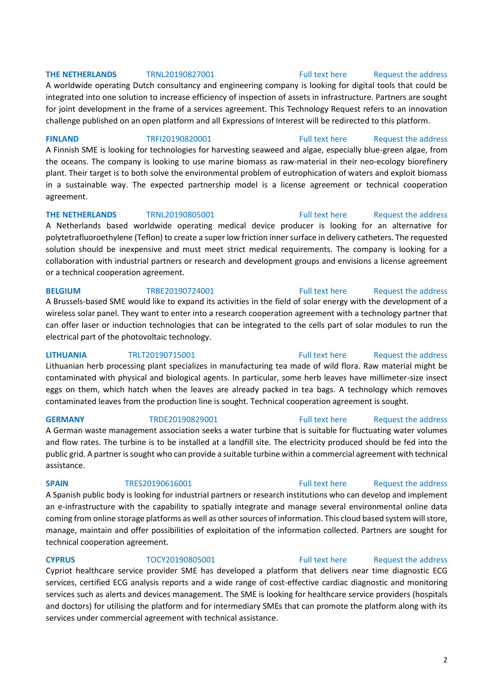## **THE NETHERLANDS** TRNL20190827001 [Full text here](https://een.ec.europa.eu/tools/services/PRO/Profile/Detail/9d0b911c-ae50-4923-8080-b7dbdb668811) Request the address

A worldwide operating Dutch consultancy and engineering company is looking for digital tools that could be integrated into one solution to increase efficiency of inspection of assets in infrastructure. Partners are sought for joint development in the frame of a services agreement. This Technology Request refers to an innovation challenge published on an open platform and all Expressions of Interest will be redirected to this platform.

FINLAND TRFI20190820001 [Full text here](https://een.ec.europa.eu/tools/services/PRO/Profile/Detail/29689a1e-178c-489e-a402-7aea42a9ae14) Request [the address](http://www.een.bg/index.php?option=com_rsform&formId=13)

A Finnish SME is looking for technologies for harvesting seaweed and algae, especially blue-green algae, from the oceans. The company is looking to use marine biomass as raw-material in their neo-ecology biorefinery plant. Their target is to both solve the environmental problem of eutrophication of waters and exploit biomass in a sustainable way. The expected partnership model is a license agreement or technical cooperation agreement.

## **THE NETHERLANDS** TRNL20190805001 [Full text here](https://een.ec.europa.eu/tools/services/PRO/Profile/Detail/4d2883c5-767a-4958-833d-d65edc2fd032) Request [the address](http://www.een.bg/index.php?option=com_rsform&formId=13)

A Netherlands based worldwide operating medical device producer is looking for an alternative for polytetrafluoroethylene (Teflon) to create a super low friction inner surface in delivery catheters. The requested solution should be inexpensive and must meet strict medical requirements. The company is looking for a collaboration with industrial partners or research and development groups and envisions a license agreement or a technical cooperation agreement.

## **BELGIUM** TRBE20190724001 [Full text here](https://een.ec.europa.eu/tools/services/PRO/Profile/Detail/96804397-2401-431e-aa9c-48965212ae8a) Request [the address](http://www.een.bg/index.php?option=com_rsform&formId=13)

A Brussels-based SME would like to expand its activities in the field of solar energy with the development of a wireless solar panel. They want to enter into a research cooperation agreement with a technology partner that can offer laser or induction technologies that can be integrated to the cells part of solar modules to run the electrical part of the photovoltaic technology.

## **LITHUANIA** TRLT20190715001 [Full text here](https://een.ec.europa.eu/tools/services/PRO/Profile/Detail/3b0c1ca4-0104-4c55-ae93-09426c37b799) [Request the address](http://www.een.bg/index.php?option=com_rsform&formId=13)

Lithuanian herb processing plant specializes in manufacturing tea made of wild flora. Raw material might be contaminated with physical and biological agents. In particular, some herb leaves have millimeter-size insect eggs on them, which hatch when the leaves are already packed in tea bags. A technology which removes contaminated leaves from the production line is sought. Technical cooperation agreement is sought.

A German waste management association seeks a water turbine that is suitable for fluctuating water volumes and flow rates. The turbine is to be installed at a landfill site. The electricity produced should be fed into the public grid. A partner is sought who can provide a suitable turbine within a commercial agreement with technical assistance.

A Spanish public body is looking for industrial partners or research institutions who can develop and implement an e-infrastructure with the capability to spatially integrate and manage several environmental online data coming from online storage platforms as well as other sources of information. This cloud based system will store, manage, maintain and offer possibilities of exploitation of the information collected. Partners are sought for technical cooperation agreement.

## **CYPRUS** TOCY20190805001 [Full text here](https://een.ec.europa.eu/tools/services/PRO/Profile/Detail/51101e5e-9827-4df6-a8e4-12cb0ccd315b) Request the address

Cypriot healthcare service provider SME has developed a platform that delivers near time diagnostic ECG services, certified ECG analysis reports and a wide range of cost-effective cardiac diagnostic and monitoring services such as alerts and devices management. The SME is looking for healthcare service providers (hospitals and doctors) for utilising the platform and for intermediary SMEs that can promote the platform along with its services under commercial agreement with technical assistance.

## **SPAIN** TRES20190616001 [Full text here](https://een.ec.europa.eu/tools/services/PRO/Profile/Detail/5b9167ec-a94d-4849-9b8d-6a255278467b) Request the address

## **GERMANY** TRDE20190829001 [Full text here](https://een.ec.europa.eu/tools/services/PRO/Profile/Detail/b0df3bbe-149f-4289-932d-ddbd7047769c) Request [the address](http://www.een.bg/index.php?option=com_rsform&formId=13)

2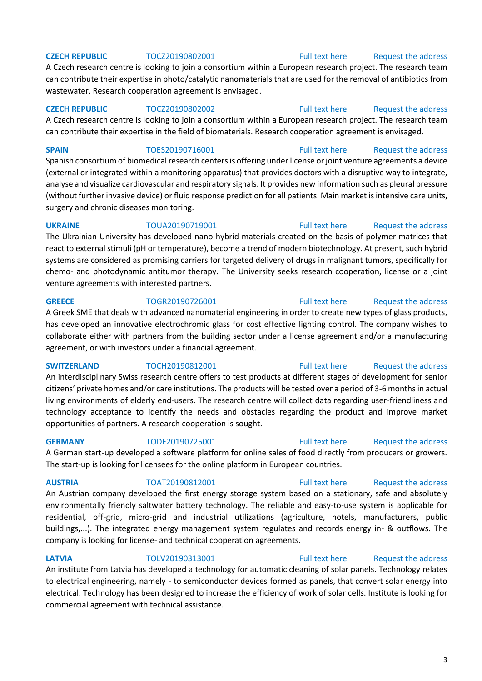A Czech research centre is looking to join a consortium within a European research project. The research team can contribute their expertise in photo/catalytic nanomaterials that are used for the removal of antibiotics from wastewater. Research cooperation agreement is envisaged.

**CZECH REPUBLIC** TOCZ20190802002 **[Full text here](https://een.ec.europa.eu/tools/services/PRO/Profile/Detail/1bd5fa0e-f94c-4572-8c06-9ca4856e02ae)** Request the address A Czech research centre is looking to join a consortium within a European research project. The research team can contribute their expertise in the field of biomaterials. Research cooperation agreement is envisaged.

**SPAIN** TOES20190716001 [Full text here](https://een.ec.europa.eu/tools/services/PRO/Profile/Detail/67df6616-0c96-4aa3-b6c8-84d7f31ff998) Request the address Spanish consortium of biomedical research centers is offering under license or joint venture agreements a device (external or integrated within a monitoring apparatus) that provides doctors with a disruptive way to integrate, analyse and visualize cardiovascular and respiratory signals. It provides new information such as pleural pressure (without further invasive device) or fluid response prediction for all patients. Main market is intensive care units, surgery and chronic diseases monitoring.

**UKRAINE** TOUA20190719001 [Full text here](https://een.ec.europa.eu/tools/services/PRO/Profile/Detail/130d7caa-de47-4e22-9701-97192f78574d) Request the address The Ukrainian University has developed nano-hybrid materials created on the basis of polymer matrices that react to external stimuli (pH or temperature), become a trend of modern biotechnology. At present, such hybrid systems are considered as promising carriers for targeted delivery of drugs in malignant tumors, specifically for chemo- and photodynamic antitumor therapy. The University seeks research cooperation, license or a joint venture agreements with interested partners.

**GREECE** TOGR20190726001 [Full text here](https://een.ec.europa.eu/tools/services/PRO/Profile/Detail/422d048c-7675-47ed-9139-e5f618cf278a) Request the address A Greek SME that deals with advanced nanomaterial engineering in order to create new types of glass products, has developed an innovative electrochromic glass for cost effective lighting control. The company wishes to collaborate either with partners from the building sector under a license agreement and/or a manufacturing

**SWITZERLAND** TOCH20190812001 [Full text here](https://een.ec.europa.eu/tools/services/PRO/Profile/Detail/686a036e-5a2b-4df4-bcd4-dd21389480fe) Request the address

agreement, or with investors under a financial agreement.

An interdisciplinary Swiss research centre offers to test products at different stages of development for senior citizens' private homes and/or care institutions. The products will be tested over a period of 3-6 months in actual living environments of elderly end-users. The research centre will collect data regarding user-friendliness and technology acceptance to identify the needs and obstacles regarding the product and improve market opportunities of partners. A research cooperation is sought.

**GERMANY** TODE20190725001 [Full text here](https://een.ec.europa.eu/tools/services/PRO/Profile/Detail/795bc9f2-eccd-42b1-8152-4d1dd0ab74f2) Request the address

A German start-up developed a software platform for online sales of food directly from producers or growers. The start-up is looking for licensees for the online platform in European countries.

An Austrian company developed the first energy storage system based on a stationary, safe and absolutely environmentally friendly saltwater battery technology. The reliable and easy-to-use system is applicable for residential, off-grid, micro-grid and industrial utilizations (agriculture, hotels, manufacturers, public buildings,...). The integrated energy management system regulates and records energy in- & outflows. The company is looking for license- and technical cooperation agreements.

## **AUSTRIA** TOAT20190812001 [Full text here](https://een.ec.europa.eu/tools/services/PRO/Profile/Detail/cb1c9d44-143d-4242-9e07-72cb130cd51c) [Request the address](http://www.een.bg/index.php?option=com_rsform&formId=13)

## **LATVIA** TOLV20190313001 [Full text here](https://een.ec.europa.eu/tools/services/PRO/Profile/Detail/a82d2260-d841-4c49-9bc9-32f45c260bdc) Request the address

An institute from Latvia has developed a technology for automatic cleaning of solar panels. Technology relates to electrical engineering, namely - to semiconductor devices formed as panels, that convert solar energy into electrical. Technology has been designed to increase the efficiency of work of solar cells. Institute is looking for commercial agreement with technical assistance.

## 3

## **CZECH REPUBLIC** TOCZ20190802001 [Full text here](https://een.ec.europa.eu/tools/services/PRO/Profile/Detail/2844c09d-a607-4f90-91f3-135b46cc5026) Request the address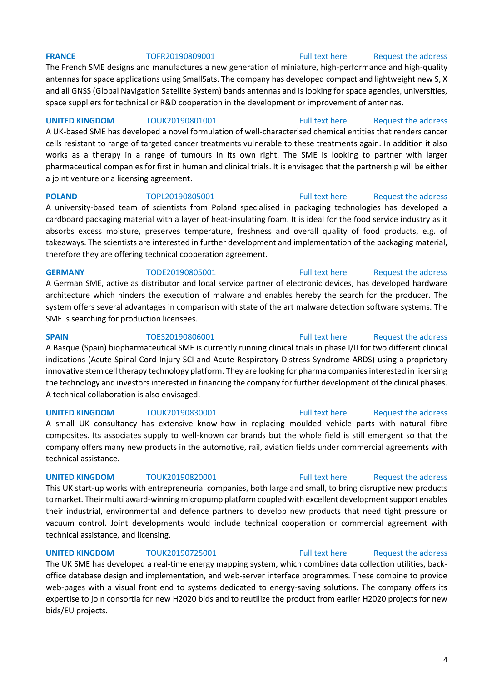## **FRANCE** TOFR20190809001 [Full text here](https://een.ec.europa.eu/tools/services/PRO/Profile/Detail/506cdd65-0222-4a3a-bb21-452132d4530b) Request the address

The French SME designs and manufactures a new generation of miniature, high-performance and high-quality antennas for space applications using SmallSats. The company has developed compact and lightweight new S, X and all GNSS (Global Navigation Satellite System) bands antennas and is looking for space agencies, universities, space suppliers for technical or R&D cooperation in the development or improvement of antennas.

**UNITED KINGDOM** TOUK20190801001 [Full text here](https://een.ec.europa.eu/tools/services/PRO/Profile/Detail/d61303ef-bd2c-4e5b-a62e-aeaeb5e4423b) Request the address A UK-based SME has developed a novel formulation of well-characterised chemical entities that renders cancer cells resistant to range of targeted cancer treatments vulnerable to these treatments again. In addition it also works as a therapy in a range of tumours in its own right. The SME is looking to partner with larger pharmaceutical companies for first in human and clinical trials. It is envisaged that the partnership will be either a joint venture or a licensing agreement.

## **POLAND** TOPL20190805001 [Full text here](https://een.ec.europa.eu/tools/services/PRO/Profile/Detail/a7559306-c413-409b-9c86-7003ac0c24fd) Request the address

A university-based team of scientists from Poland specialised in packaging technologies has developed a cardboard packaging material with a layer of heat-insulating foam. It is ideal for the food service industry as it absorbs excess moisture, preserves temperature, freshness and overall quality of food products, e.g. of takeaways. The scientists are interested in further development and implementation of the packaging material, therefore they are offering technical cooperation agreement.

## **GERMANY** TODE20190805001 [Full text here](https://een.ec.europa.eu/tools/services/PRO/Profile/Detail/1ff112b4-5a69-4e27-ab7d-ef18fd995c05) Request the address

A German SME, active as distributor and local service partner of electronic devices, has developed hardware architecture which hinders the execution of malware and enables hereby the search for the producer. The system offers several advantages in comparison with state of the art malware detection software systems. The SME is searching for production licensees.

**SPAIN** TOES20190806001 [Full text here](https://een.ec.europa.eu/tools/services/PRO/Profile/Detail/2e655618-415d-48af-9918-b9ce639c46af) Request the address

A Basque (Spain) biopharmaceutical SME is currently running clinical trials in phase I/II for two different clinical indications (Acute Spinal Cord Injury-SCI and Acute Respiratory Distress Syndrome-ARDS) using a proprietary innovative stem cell therapy technology platform. They are looking for pharma companies interested in licensing the technology and investors interested in financing the company for further development of the clinical phases. A technical collaboration is also envisaged.

A small UK consultancy has extensive know-how in replacing moulded vehicle parts with natural fibre composites. Its associates supply to well-known car brands but the whole field is still emergent so that the company offers many new products in the automotive, rail, aviation fields under commercial agreements with

technical assistance.

This UK start-up works with entrepreneurial companies, both large and small, to bring disruptive new products to market. Their multi award-winning micropump platform coupled with excellent development support enables their industrial, environmental and defence partners to develop new products that need tight pressure or vacuum control. Joint developments would include technical cooperation or commercial agreement with technical assistance, and licensing.

**UNITED KINGDOM** TOUK20190725001 [Full text here](https://een.ec.europa.eu/tools/services/PRO/Profile/Detail/7b4e52aa-77b7-4e83-a5f7-375af5f34613) Request the address

The UK SME has developed a real-time energy mapping system, which combines data collection utilities, backoffice database design and implementation, and web-server interface programmes. These combine to provide web-pages with a visual front end to systems dedicated to energy-saving solutions. The company offers its expertise to join consortia for new H2020 bids and to reutilize the product from earlier H2020 projects for new bids/EU projects.

## 4

## **UNITED KINGDOM** TOUK20190830001 [Full text here](https://een.ec.europa.eu/tools/services/PRO/Profile/Detail/e248b370-d831-47be-9773-4b53f8b93969) Request the address

## **UNITED KINGDOM** TOUK20190820001 [Full text here](https://een.ec.europa.eu/tools/services/PRO/Profile/Detail/282a2826-1a19-446b-a5fb-bdeec74a798c) Request the address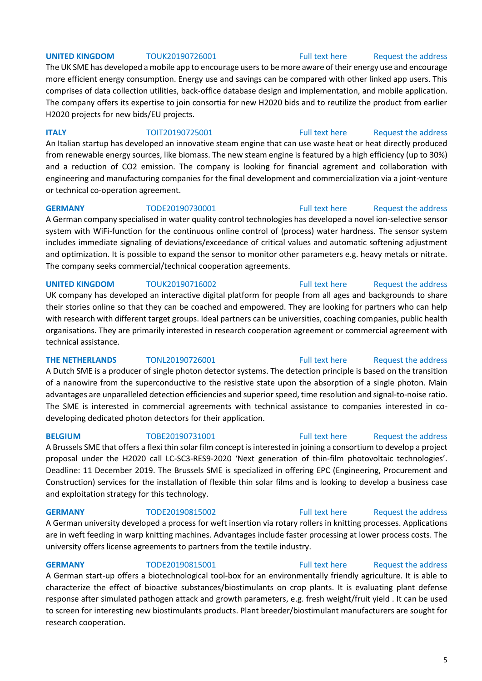## **UNITED KINGDOM** TOUK20190726001 [Full text here](https://een.ec.europa.eu/tools/services/PRO/Profile/Detail/509c01c2-33e4-4eb6-bd64-5a5620041b62) Request the address

The UK SME has developed a mobile app to encourage users to be more aware of their energy use and encourage more efficient energy consumption. Energy use and savings can be compared with other linked app users. This comprises of data collection utilities, back-office database design and implementation, and mobile application. The company offers its expertise to join consortia for new H2020 bids and to reutilize the product from earlier H2020 projects for new bids/EU projects.

## **ITALY TOIT20190725001** [Full text here](https://een.ec.europa.eu/tools/services/PRO/Profile/Detail/1bfad082-5eaa-4c75-9c7d-08afc61ad0f7) Request the address

An Italian startup has developed an innovative steam engine that can use waste heat or heat directly produced from renewable energy sources, like biomass. The new steam engine is featured by a high efficiency (up to 30%) and a reduction of CO2 emission. The company is looking for financial agrement and collaboration with engineering and manufacturing companies for the final development and commercialization via a joint-venture or technical co-operation agreement.

**GERMANY** TODE20190730001 [Full text here](https://een.ec.europa.eu/tools/services/PRO/Profile/Detail/74c5303c-1898-41ec-a8df-b9d6dde5671a) Request the address A German company specialised in water quality control technologies has developed a novel ion-selective sensor system with WiFi-function for the continuous online control of (process) water hardness. The sensor system includes immediate signaling of deviations/exceedance of critical values and automatic softening adjustment and optimization. It is possible to expand the sensor to monitor other parameters e.g. heavy metals or nitrate. The company seeks commercial/technical cooperation agreements.

UK company has developed an interactive digital platform for people from all ages and backgrounds to share their stories online so that they can be coached and empowered. They are looking for partners who can help with research with different target groups. Ideal partners can be universities, coaching companies, public health organisations. They are primarily interested in research cooperation agreement or commercial agreement with technical assistance.

A Dutch SME is a producer of single photon detector systems. The detection principle is based on the transition of a nanowire from the superconductive to the resistive state upon the absorption of a single photon. Main advantages are unparalleled detection efficiencies and superior speed, time resolution and signal-to-noise ratio. The SME is interested in commercial agreements with technical assistance to companies interested in codeveloping dedicated photon detectors for their application.

A Brussels SME that offers a flexi thin solar film concept is interested in joining a consortium to develop a project proposal under the H2020 call LC-SC3-RES9-2020 'Next generation of thin-film photovoltaic technologies'. Deadline: 11 December 2019. The Brussels SME is specialized in offering EPC (Engineering, Procurement and Construction) services for the installation of flexible thin solar films and is looking to develop a business case and exploitation strategy for this technology.

A German university developed a process for weft insertion via rotary rollers in knitting processes. Applications are in weft feeding in warp knitting machines. Advantages include faster processing at lower process costs. The university offers license agreements to partners from the textile industry.

## **GERMANY** TODE20190815001 [Full text here](https://een.ec.europa.eu/tools/services/PRO/Profile/Detail/a9066d9c-111f-4793-a7ed-78c0c97d9c1e) Request the address

A German start-up offers a biotechnological tool-box for an environmentally friendly agriculture. It is able to characterize the effect of bioactive substances/biostimulants on crop plants. It is evaluating plant defense response after simulated pathogen attack and growth parameters, e.g. fresh weight/fruit yield . It can be used to screen for interesting new biostimulants products. Plant breeder/biostimulant manufacturers are sought for research cooperation.

## 5

## **UNITED KINGDOM** TOUK20190716002 **Full text here** Request the address

## **GERMANY** TODE20190815002 [Full text here](https://een.ec.europa.eu/tools/services/PRO/Profile/Detail/4eaf3ace-1c69-40c9-82ce-c6ddc7e8d2ca) Request the address

## **THE NETHERLANDS** TONL20190726001 [Full text here](https://een.ec.europa.eu/tools/services/PRO/Profile/Detail/f61e8dba-62a9-420b-90c4-5658f7f4ea7a) Request the address

**BELGIUM** TOBE20190731001 [Full text here](https://een.ec.europa.eu/tools/services/PRO/Profile/Detail/37a17853-166e-4733-a065-a15100c21966) Request the address